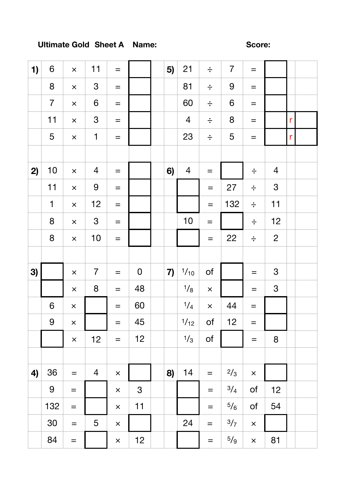## **Ultimate Gold Sheet A Name: Score:**

| 1) | $6\phantom{1}$ | $\times$          | 11             | $\qquad \qquad =$       |                | 5) | 21             | $\div$                  | $\overline{7}$   | $\!\!\!=\!\!\!\!$ |                |              |  |
|----|----------------|-------------------|----------------|-------------------------|----------------|----|----------------|-------------------------|------------------|-------------------|----------------|--------------|--|
|    | $\bf 8$        | $\pmb{\times}$    | $\mathfrak{S}$ | $\qquad \qquad =$       |                |    | 81             | $\div$                  | 9                | $\equiv$          |                |              |  |
|    | $\overline{7}$ | $\times$          | 6              | $=$                     |                |    | 60             | $\div$                  | $\boldsymbol{6}$ | $\qquad \qquad =$ |                |              |  |
|    | 11             | $\times$          | $\mathfrak{S}$ | $\qquad \qquad =$       |                |    | $\overline{4}$ | $\div$                  | $\bf 8$          | $=$               |                | r            |  |
|    | 5              | $\times$          | $\mathbf{1}$   | $\equiv$                |                |    | 23             | $\div$                  | 5                | $=$               |                | $\mathsf{r}$ |  |
|    |                |                   |                |                         |                |    |                |                         |                  |                   |                |              |  |
| 2) | 10             | $\times$          | $\overline{4}$ | $\qquad \qquad =$       |                | 6) | $\overline{4}$ | $\!\!\!=\!\!\!\!$       |                  | $\div$            | $\overline{4}$ |              |  |
|    | 11             | $\times$          | $\overline{9}$ | $\qquad \qquad =$       |                |    |                | $=$                     | 27               | $\div$            | $\mathfrak{S}$ |              |  |
|    | $\mathbf 1$    | $\times$          | 12             | $=$                     |                |    |                | $=$                     | 132              | $\div$            | 11             |              |  |
|    | 8              | $\times$          | $\mathfrak{S}$ | $\qquad \qquad =$       |                |    | $10$           | $=$                     |                  | $\div$            | 12             |              |  |
|    | 8              | $\times$          | 10             | $=$                     |                |    |                | $=$                     | 22               | $\div$            | $\overline{2}$ |              |  |
|    |                |                   |                |                         |                |    |                |                         |                  |                   |                |              |  |
| 3) |                | $\times$          | $\overline{7}$ | $\qquad \qquad =$       | $\mathbf 0$    | 7) | 1/10           | $\mathsf{of}$           |                  | $=$               | $\mathfrak{S}$ |              |  |
|    |                | $\times$          | 8              | $=$                     | 48             |    | 1/8            | $\overline{\mathsf{x}}$ |                  | $=$               | $\mathfrak{S}$ |              |  |
|    | $6\phantom{1}$ | $\times$          |                | $=$                     | 60             |    | 1/4            | $\times$                | 44               | $=$               |                |              |  |
|    | 9              | $\times$          |                | $=$                     | 45             |    | 1/12           | of                      | 12               | $\qquad \qquad =$ |                |              |  |
|    |                | $\times$          | 12             | $=$                     | 12             |    | 1/3            | of                      |                  | $\!\!\!=\!\!\!\!$ | 8              |              |  |
|    |                |                   |                |                         |                |    |                |                         |                  |                   |                |              |  |
| 4) | 36             | $\qquad \qquad =$ | $\overline{4}$ | $\times$                |                | 8) | 14             | $\equiv$                | 2/3              | $\times$          |                |              |  |
|    | 9              | $=$               |                | $\overline{\mathsf{x}}$ | $\mathfrak{S}$ |    |                | $=$                     | 3/4              | of                | 12             |              |  |
|    | 132            | $=$               |                | $\times$                | 11             |    |                | $\equiv$                | $5/6$            | $\mathsf{of}$     | 54             |              |  |
|    | 30             | $\qquad \qquad =$ | 5              | $\times$                |                |    | 24             | $\qquad \qquad =$       | 3/7              | $\times$          |                |              |  |
|    | 84             | $=$               |                | $\times$                | 12             |    |                | $\equiv$                | 5/9              | $\times$          | 81             |              |  |